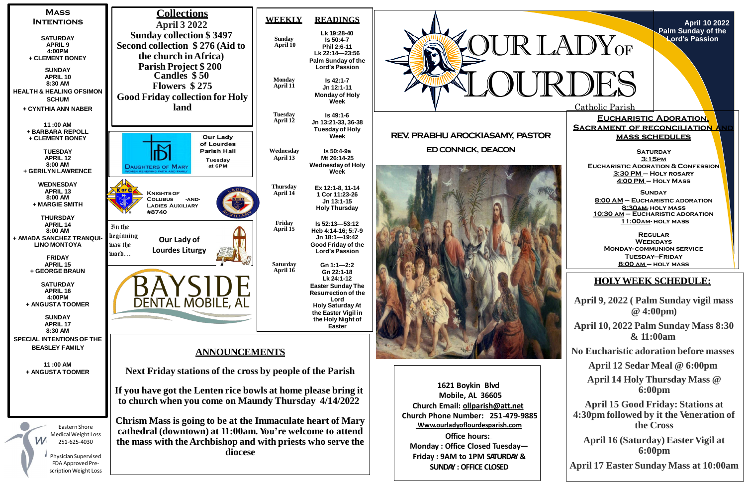